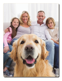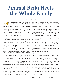# **Animal Reiki Heals the Whole Family**

# by Kathleen Lester

MANY PRACTITIONERS FIND THEIR WAY to An-<br>imal Reiki because they prefer to work with ani-<br>mals. What many do not realize is that working<br>with animals often leads to also working with their human imal Reiki because they prefer to work with animals. What many do not realize is that working with animals often leads to also working with their human companions. Animals reflect their humans, take on ailments that their humans are suffering from or reflect their humans' behaviors. So, the presenting issue for an animal session is often the same issue we see in their humans too. When we share Reiki with the animals, we are often also sharing Reiki with the humans and the whole family benefits.

### **Animals as Mirrors**

The mutual relationship between humans and the animals seems to have originated about 14,000 years ago.<sup>1</sup> Through this partnership, they offer humans companionship and healing, a significant, yet often unnoticed contribution to our families. While pets appear to be "hanging out" all day and relaxing, they are actually checking in constantly with their humans—they know how we are doing, our mood, if we are sick and so much more. They process this information and may respond by reflecting the behavior back, taking on the behavior, healing us or taking on our illnesses.

Most veterinarians will tell you that they see animals have the same stresses and issues that they see in their human companions. They commonly see anxiousness in animals that is reflective of their humans. A recent study in Austria confirmed this knowledge known by veterinarians for decades. According to Dr. Iris Schöberl's research through the University of Vienna, dogs and their humans are social dyads, and they influence each other's coping mechanisms.2 Dogs can either reflect or take on their humans' behaviors.

In addition to reflecting or taking on their humans' illnesses, they also share illnesses. "Pet owners share their homes, their exercise habits and sometimes even their food with their four-legged companions. And increasingly, they are sharing the same diseases; dogs and cats suffer from obesity, diabetes, heart disease, cancer and asthma, just like humans."3 Some of this is environmental, where both are subject to the same pollutants, such as chemicals or pesticides. But, as a result, both may develop similar diseases.

Our animal companions also work to heal us when we are not in balance, are ill or injured. Just like Reiki practitioners, animals access the universal life force energy and share that with their human companions. Most animals are Reiki practitioners, always one with all life, never faltering in their connection to the universe. So, often when the animal companions get sick, it's because they could no longer heal themselves and they need aid.

Animals also take on our diseases for us, so that we may continue in our work here on Earth. It is common for a human to have cancer or some other disease and not long after the human becomes cured of the illness, the animal suddenly has the same disease, as though they took it from their human. Many companion animals' lifespans are short, and they will come back for use again in our lifetime, so it's easy for them to give their humans such a gift.

### **Reiki's Infinite Wisdom**

As an Animal Reiki practitioner and teacher, I have many clients who seek out Reiki for their animals for all types of ailments; and in most cases, the animal is reflecting one or more family members in some way. Animal Reiki often starts with a session with an animal companion but has far more reaching effects. Reiki is healing energy that goes where it is needed most, not directed by the practitioner, while the practitioner sets their intention to share healing with the animal companion. Because Animal Reiki is often conducted in the home or on a farm where other family members and animal companions are present, the practitioner's presence allows Reiki to be shared by all—including other animals, human companions, and any being present for the session.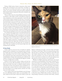### Animal Reiki Heals the Whole Family

During a Reiki session, human companions often report feeling calm and relaxed or may report that a shoulder or a knee that was sore before the session no longer is after the session. As a result, and after seeing the benefits of Reiki for their animals, human companions often ask to schedule a session for themselves.

The joy of the work of an Animal Reiki practitioner is that as animals so often reflect or take on the illnesses of their human companions, we have the opportunity to treat both and work toward a holistic resolution for the issue. Conversely, if the presenting problem is anxiety that the animal is mirroring from the human companion, if I only work with the animal, the issue may keep presenting itself until the anxiety in the human resolves. However, if the animal and human come to the session together and the human is open to Reiki, Reiki will go where it needs to go, and both have the opportunity for healing. Even more, if the human companion schedules separate sessions, the healing for both can be much more efficient.

For animals with chronic issues, I recommend that the human companion take Reiki classes, at least Level I and possibly Level II, depending on their commitment to the practice of Reiki. It is more beneficial and cost-effective for clients to learn Reiki, if they are interested, to share regular sessions with their animal companions. Learning Reiki also eases a process by which they begin their self-healing and the more self-healing the humans do, the better they can aid their animals. This step is another way the humans begin their own healing journey with Reiki.

### **A Case Study**

Cindy sought my services for her cat Sophie for arthritis, digestive issues, constipation, loss of appetite and overall anxiety. Sophie also paces at times and goes into hiding at other times, depending on her level of stress. Sophie had been to the veterinarian many times and treated for all issues, which included dietary changes and continuing pain medication for arthritis. The doctor acknowledged that the digestive and kidney issues are likely due to anxiety.

During our first in-person session, Sophie and both her parents were present. We shared Reiki, and all experienced a deep sense of calm. Over time, we shifted to distant sessions, and Sophie's anxiety and symptoms always subsided for several days after a session. However, with the distant sessions, the whole family was no longer present, and the core of the issue was Cindy's anxiety.

At my urging, Cindy took Animal Reiki Levels I/II, began her own self-healing and has taken over giving Reiki to Sophie. Sophie has been able to reduce the number of pain and



Sophie's family is doing well, and Sophie has reduced her pain and digestive medications.

digestive medications she takes, and both Cindy and Sophie are doing so much better. There are situational stresses that still arise due to some family circumstances and I still work with Sophie during those times. However, Cindy is aware when those situations occur and can ask for help. Overall, both cat and human are doing very well and experience significantly less anxiety and improved overall health.

Whether it is Reiki in the home with human and animal companions or teaching Reiki to the human companion, humans and animals receive healing energy. The beauty of Reiki is that it goes where it is needed; the practitioner is not in control of what gets healed. So, when practicing Animal Reiki, we are blessed to have both the animal and human companion in our sessions. Although we intend to heal the animal companion, Reiki's wisdom also knows to heal the human companions too. As teachers, we are also blessed to be able to share the system of Reiki with our clients, so that they can bring healing to themselves and their entire family. Animals